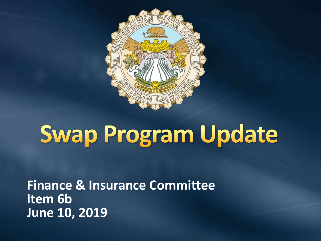

# **Swap Program Update**

**Finance & Insurance Committee Item 6b June 10, 2019**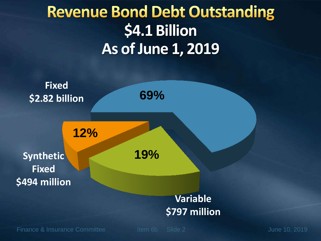## **Revenue Bond Debt Outstanding \$4.1 Billion As of June 1, 2019**

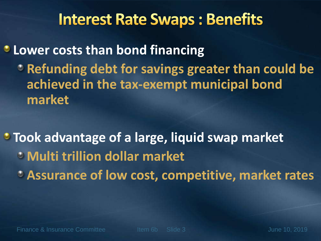### **Interest Rate Swaps: Benefits**

**Lower costs than bond financing Propelling bight for savings greater than could be achieved in the tax-exempt municipal bond market**

**Took advantage of a large, liquid swap market Multi trillion dollar market Assurance of low cost, competitive, market rates**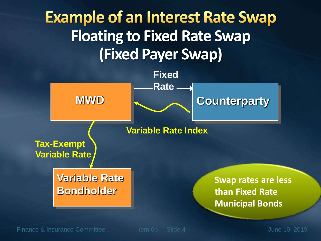## **Example of an Interest Rate Swap Floating to Fixed Rate Swap (Fixed Payer Swap)**



Finance & Insurance Committee The Item 6b Slide 4 June 10, 2019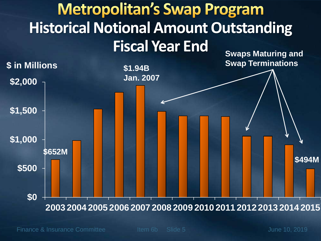#### **Metropolitan's Swap Program Historical Notional Amount Outstanding Fiscal Year End Swaps Maturing and**

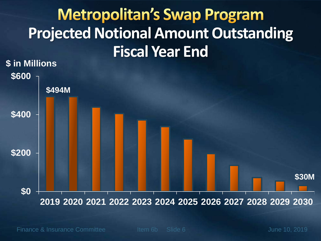## **Metropolitan's Swap Program Projected Notional Amount Outstanding Fiscal Year End**



Finance & Insurance Committee The Item 6b Slide 6 June 10, 2019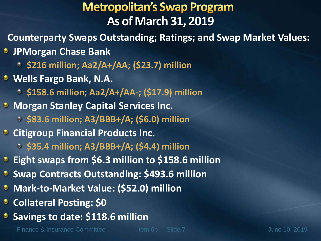#### **Metropolitan's Swap Program As of March 31, 2019**

- **Counterparty Swaps Outstanding; Ratings; and Swap Market Values:**
- **JPMorgan Chase Bank** 
	- **\$216 million; Aa2/A+/AA; (\$23.7) million**
- **Wells Fargo Bank, N.A.**
	- **\$158.6 million; Aa2/A+/AA-; (\$17.9) million**
- **Morgan Stanley Capital Services Inc.** 
	- **\$83.6 million; A3/BBB+/A; (\$6.0) million**
- **Citigroup Financial Products Inc.** 
	- **\$35.4 million; A3/BBB+/A; (\$4.4) million**
- **Eight swaps from \$6.3 million to \$158.6 million**
- **Swap Contracts Outstanding: \$493.6 million**
- **Mark-to-Market Value: (\$52.0) million**
- **Collateral Posting: \$0**
- **Savings to date: \$118.6 million**

Finance & Insurance Committee The Item 6b Slide 7 June 10, 2019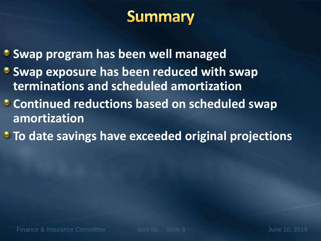## **Summary**

- **Swap program has been well managed**
- **Swap exposure has been reduced with swap terminations and scheduled amortization**
- **Continued reductions based on scheduled swap amortization**
- **To date savings have exceeded original projections**